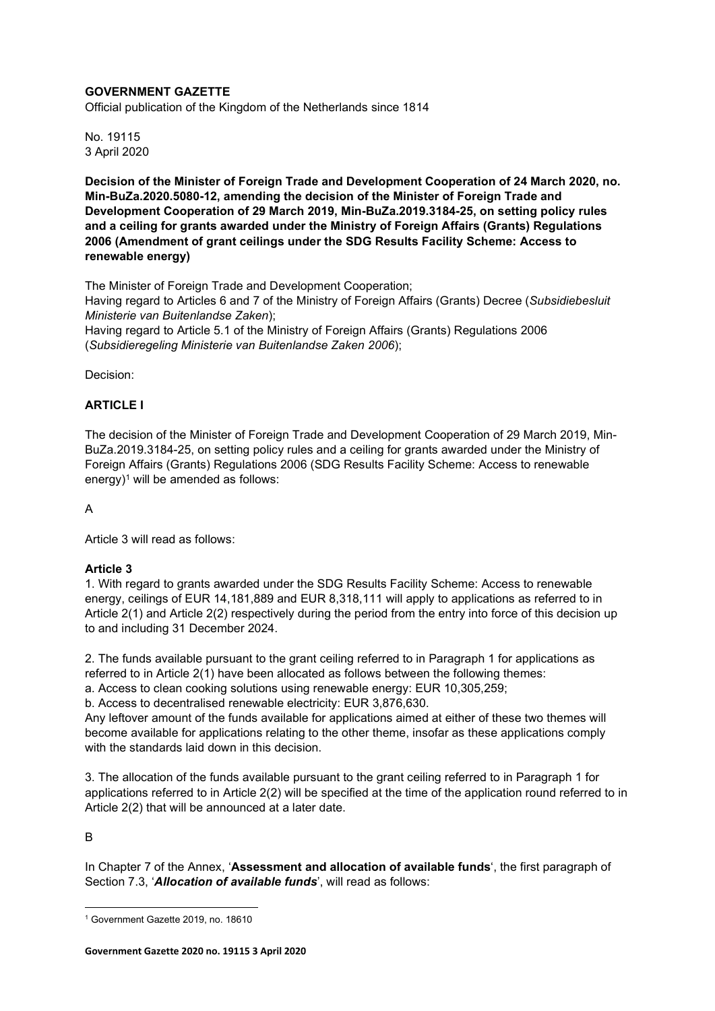# GOVERNMENT GAZETTE

Official publication of the Kingdom of the Netherlands since 1814

No. 19115 3 April 2020

Decision of the Minister of Foreign Trade and Development Cooperation of 24 March 2020, no. Min-BuZa.2020.5080-12, amending the decision of the Minister of Foreign Trade and Development Cooperation of 29 March 2019, Min-BuZa.2019.3184-25, on setting policy rules and a ceiling for grants awarded under the Ministry of Foreign Affairs (Grants) Regulations 2006 (Amendment of grant ceilings under the SDG Results Facility Scheme: Access to renewable energy)

The Minister of Foreign Trade and Development Cooperation;

Having regard to Articles 6 and 7 of the Ministry of Foreign Affairs (Grants) Decree (Subsidiebesluit Ministerie van Buitenlandse Zaken);

Having regard to Article 5.1 of the Ministry of Foreign Affairs (Grants) Regulations 2006 (Subsidieregeling Ministerie van Buitenlandse Zaken 2006);

Decision:

# ARTICLE I

The decision of the Minister of Foreign Trade and Development Cooperation of 29 March 2019, Min-BuZa.2019.3184-25, on setting policy rules and a ceiling for grants awarded under the Ministry of Foreign Affairs (Grants) Regulations 2006 (SDG Results Facility Scheme: Access to renewable energy) $1$  will be amended as follows:

A

Article 3 will read as follows:

# Article 3

1. With regard to grants awarded under the SDG Results Facility Scheme: Access to renewable energy, ceilings of EUR 14,181,889 and EUR 8,318,111 will apply to applications as referred to in Article 2(1) and Article 2(2) respectively during the period from the entry into force of this decision up to and including 31 December 2024.

2. The funds available pursuant to the grant ceiling referred to in Paragraph 1 for applications as referred to in Article 2(1) have been allocated as follows between the following themes:

a. Access to clean cooking solutions using renewable energy: EUR 10,305,259;

b. Access to decentralised renewable electricity: EUR 3,876,630.

Any leftover amount of the funds available for applications aimed at either of these two themes will become available for applications relating to the other theme, insofar as these applications comply with the standards laid down in this decision.

3. The allocation of the funds available pursuant to the grant ceiling referred to in Paragraph 1 for applications referred to in Article 2(2) will be specified at the time of the application round referred to in Article 2(2) that will be announced at a later date.

B

In Chapter 7 of the Annex, 'Assessment and allocation of available funds', the first paragraph of Section 7.3, '**Allocation of available funds**', will read as follows:

<sup>1</sup> Government Gazette 2019, no. 18610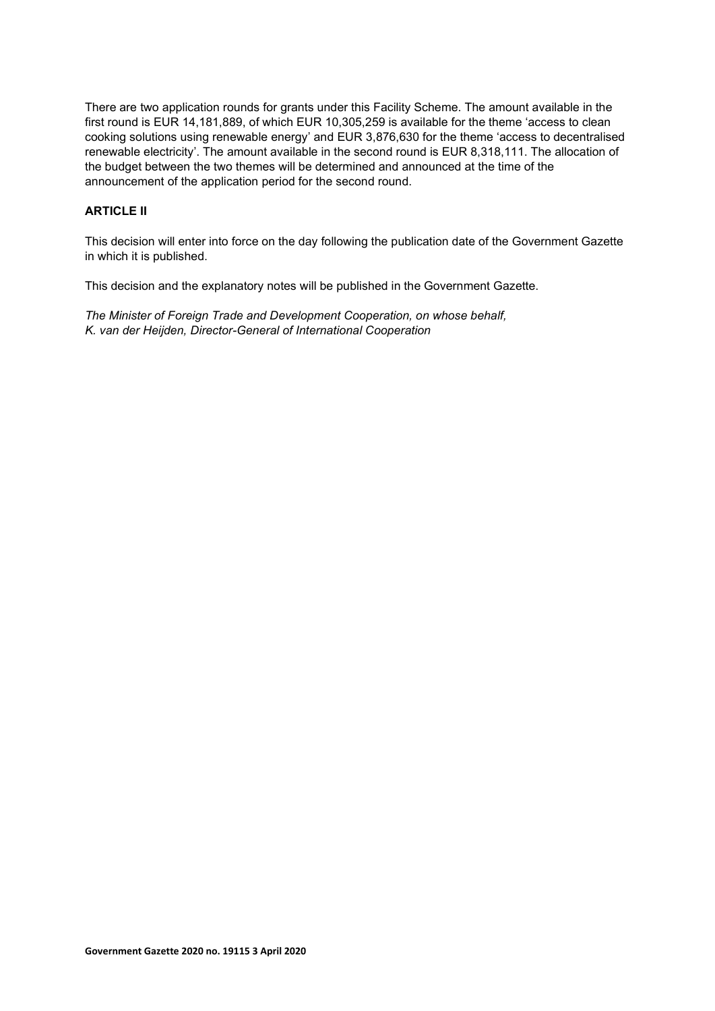There are two application rounds for grants under this Facility Scheme. The amount available in the first round is EUR 14,181,889, of which EUR 10,305,259 is available for the theme 'access to clean cooking solutions using renewable energy' and EUR 3,876,630 for the theme 'access to decentralised renewable electricity'. The amount available in the second round is EUR 8,318,111. The allocation of the budget between the two themes will be determined and announced at the time of the announcement of the application period for the second round.

# ARTICLE II

This decision will enter into force on the day following the publication date of the Government Gazette in which it is published.

This decision and the explanatory notes will be published in the Government Gazette.

The Minister of Foreign Trade and Development Cooperation, on whose behalf, K. van der Heijden, Director-General of International Cooperation